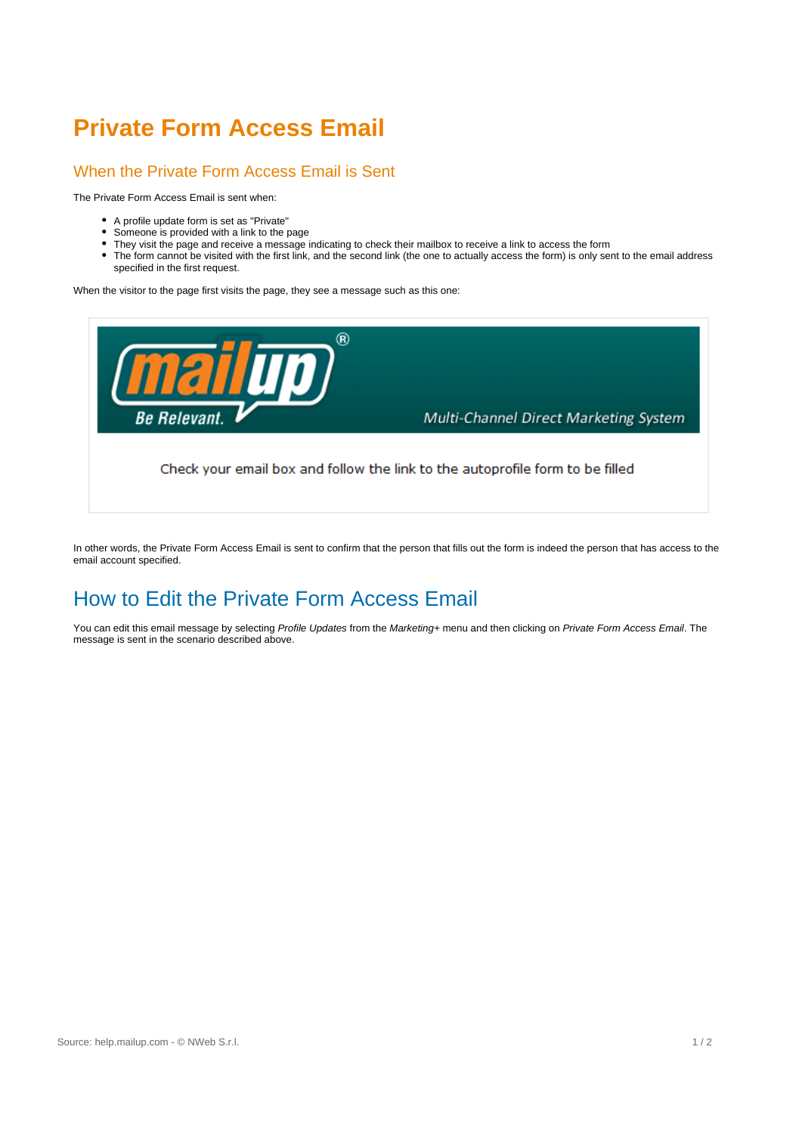## **Private Form Access Email**

## When the Private Form Access Email is Sent

The Private Form Access Email is sent when:

- A profile update form is set as "Private"
- $\bullet$ Someone is provided with a link to the page
- $\bullet$ They visit the page and receive a message indicating to check their mailbox to receive a link to access the form
- The form cannot be visited with the first link, and the second link (the one to actually access the form) is only sent to the email address specified in the first request.

When the visitor to the page first visits the page, they see a message such as this one:



In other words, the Private Form Access Email is sent to confirm that the person that fills out the form is indeed the person that has access to the email account specified.

## How to Edit the Private Form Access Email

You can edit this email message by selecting Profile Updates from the Marketing+ menu and then clicking on Private Form Access Email. The message is sent in the scenario described above.